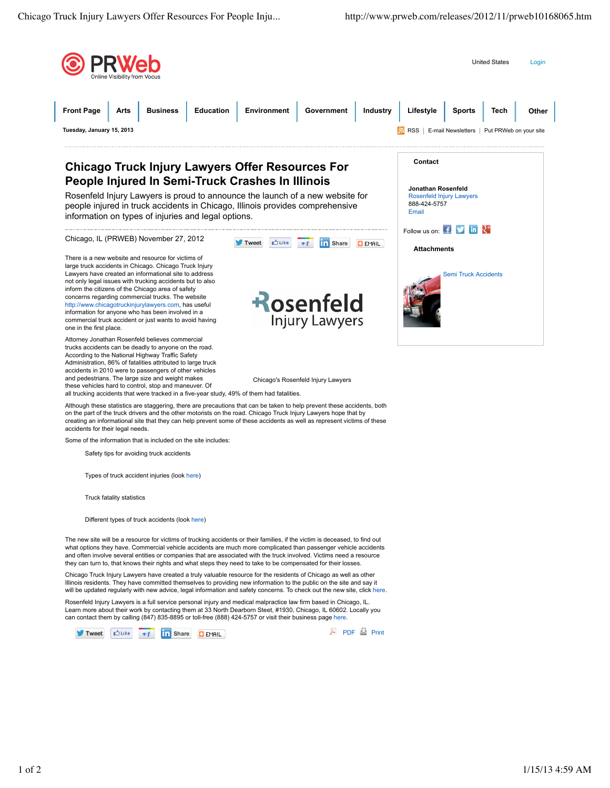